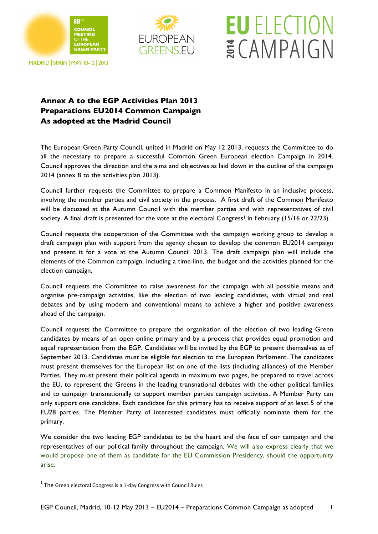



**EU** ELECTION

ECAMPAIGN

## MADRID | SPAIN | MAY 10-12 | 2013

## **Annex A to the EGP Activities Plan 2013 Preparations EU2014 Common Campaign As adopted at the Madrid Council**

The European Green Party Council, united in Madrid on May 12 2013, requests the Committee to do all the necessary to prepare a successful Common Green European election Campaign in 2014. Council approves the direction and the aims and objectives as laid down in the outline of the campaign 2014 (annex B to the activities plan 2013).

Council further requests the Committee to prepare a Common Manifesto in an inclusive process, involving the member parties and civil society in the process. A first draft of the Common Manifesto will be discussed at the Autumn Council with the member parties and with representatives of civil society. A final draft is presented for the vote at the electoral Congress<sup>1</sup> in February (15/16 or 22/23).

Council requests the cooperation of the Committee with the campaign working group to develop a draft campaign plan with support from the agency chosen to develop the common EU2014 campaign and present it for a vote at the Autumn Council 2013. The draft campaign plan will include the elements of the Common campaign, including a time-line, the budget and the activities planned for the election campaign.

Council requests the Committee to raise awareness for the campaign with all possible means and organise pre-campaign activities, like the election of two leading candidates, with virtual and real debates and by using modern and conventional means to achieve a higher and positive awareness ahead of the campaign.

Council requests the Committee to prepare the organisation of the election of two leading Green candidates by means of an open online primary and by a process that provides equal promotion and equal representation from the EGP. Candidates will be invited by the EGP to present themselves as of September 2013. Candidates must be eligible for election to the European Parliament. The candidates must present themselves for the European list on one of the lists (including alliances) of the Member Parties. They must present their political agenda in maximum two pages, be prepared to travel across the EU, to represent the Greens in the leading transnational debates with the other political families and to campaign transnationally to support member parties campaign activities. A Member Party can only support one candidate. Each candidate for this primary has to receive support of at least 5 of the EU28 parties. The Member Party of interested candidates must officially nominate them for the primary.

We consider the two leading EGP candidates to be the heart and the face of our campaign and the representatives of our political family throughout the campaign. We will also express clearly that we would propose one of them as candidate for the EU Commission Presidency, should the opportunity arise.

<u> 1989 - Jan Samuel Barbara, margaret e</u>

 $1$  The Green electoral Congress is a 1-day Congress with Council Rules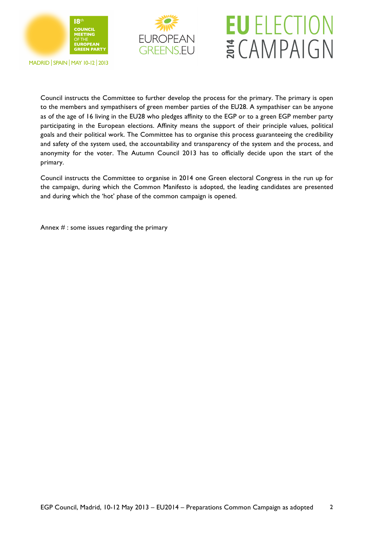



## **EU** ELECTION ECAMPAIGN

**MADRID | SPAIN | MAY 10-12 | 2013** 

Council instructs the Committee to further develop the process for the primary. The primary is open to the members and sympathisers of green member parties of the EU28. A sympathiser can be anyone as of the age of 16 living in the EU28 who pledges affinity to the EGP or to a green EGP member party participating in the European elections. Affinity means the support of their principle values, political goals and their political work. The Committee has to organise this process guaranteeing the credibility and safety of the system used, the accountability and transparency of the system and the process, and anonymity for the voter. The Autumn Council 2013 has to officially decide upon the start of the primary.

Council instructs the Committee to organise in 2014 one Green electoral Congress in the run up for the campaign, during which the Common Manifesto is adopted, the leading candidates are presented and during which the 'hot' phase of the common campaign is opened.

Annex  $#$ : some issues regarding the primary